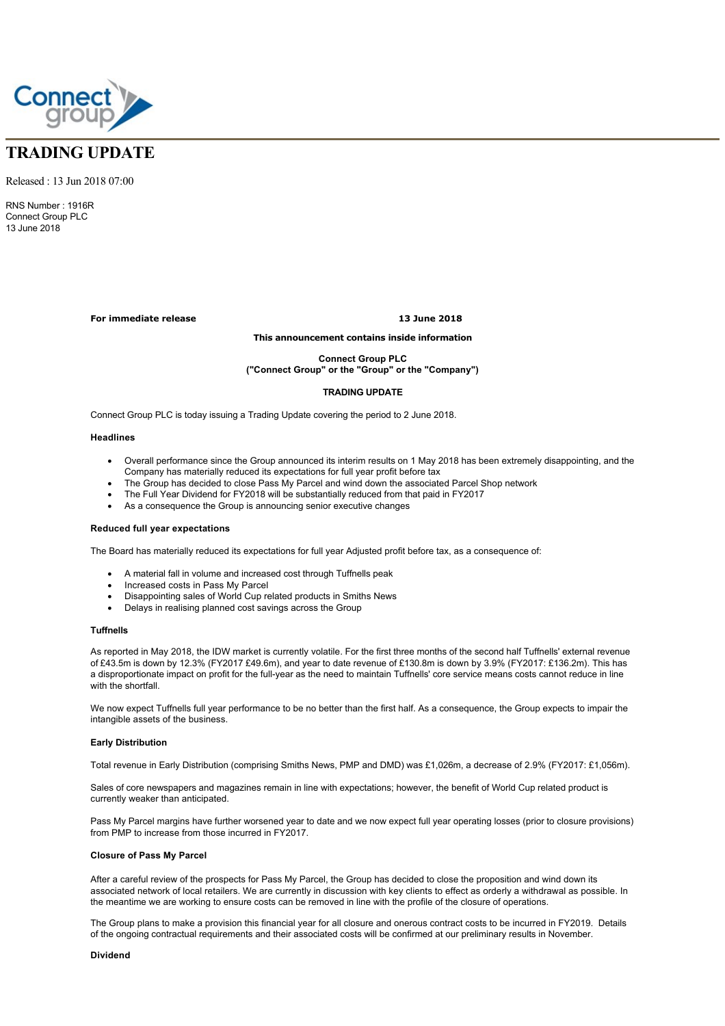

# **TRADING UPDATE**

Released : 13 Jun 2018 07:00

RNS Number : 1916R Connect Group PLC 13 June 2018

**For immediate release 13 June 2018**

## **This announcement contains inside information**

**Connect Group PLC**

# **("Connect Group" or the "Group" or the "Company")**

#### **TRADING UPDATE**

Connect Group PLC is today issuing a Trading Update covering the period to 2 June 2018.

### **Headlines**

- · Overall performance since the Group announced its interim results on 1 May 2018 has been extremely disappointing, and the Company has materially reduced its expectations for full year profit before tax
- · The Group has decided to close Pass My Parcel and wind down the associated Parcel Shop network
- The Full Year Dividend for FY2018 will be substantially reduced from that paid in FY2017
- As a consequence the Group is announcing senior executive changes

#### **Reduced full year expectations**

The Board has materially reduced its expectations for full year Adjusted profit before tax, as a consequence of:

- A material fall in volume and increased cost through Tuffnells peak
- Increased costs in Pass My Parcel
- · Disappointing sales of World Cup related products in Smiths News
- Delays in realising planned cost savings across the Group

#### **Tuffnells**

As reported in May 2018, the IDW market is currently volatile. For the first three months of the second half Tuffnells' external revenue of £43.5m is down by 12.3% (FY2017 £49.6m), and year to date revenue of £130.8m is down by 3.9% (FY2017: £136.2m). This has a disproportionate impact on profit for the full-year as the need to maintain Tuffnells' core service means costs cannot reduce in line with the shortfall.

We now expect Tuffnells full year performance to be no better than the first half. As a consequence, the Group expects to impair the intangible assets of the business.

#### **Early Distribution**

Total revenue in Early Distribution (comprising Smiths News, PMP and DMD) was £1,026m, a decrease of 2.9% (FY2017: £1,056m).

Sales of core newspapers and magazines remain in line with expectations; however, the benefit of World Cup related product is currently weaker than anticipated.

Pass My Parcel margins have further worsened year to date and we now expect full year operating losses (prior to closure provisions) from PMP to increase from those incurred in FY2017.

#### **Closure of Pass My Parcel**

After a careful review of the prospects for Pass My Parcel, the Group has decided to close the proposition and wind down its associated network of local retailers. We are currently in discussion with key clients to effect as orderly a withdrawal as possible. In the meantime we are working to ensure costs can be removed in line with the profile of the closure of operations.

The Group plans to make a provision this financial year for all closure and onerous contract costs to be incurred in FY2019. Details of the ongoing contractual requirements and their associated costs will be confirmed at our preliminary results in November.